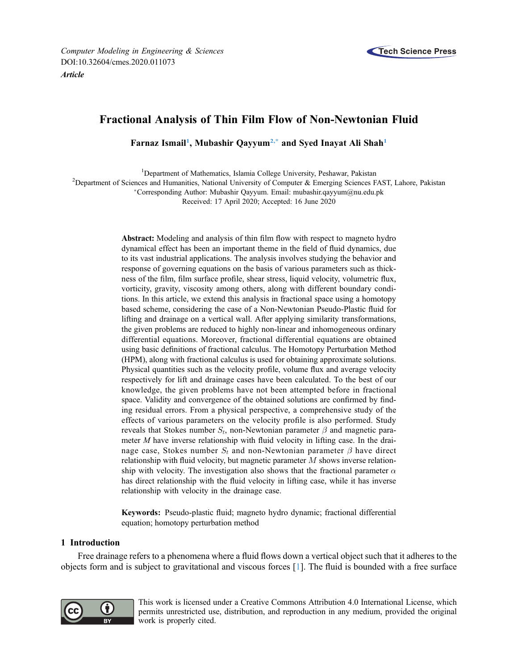

# Fractional Analysis of Thin Film Flow of Non-Newtonian Fluid

Farnaz Ismail<sup>[1](#page-0-0)</sup>, Mubashir Qayyum<sup>[2,\\*](#page-0-1)</sup> and Syed Inayat Ali Shah<sup>1</sup>

<sup>1</sup>Department of Mathematics, Islamia College University, Peshawar, Pakistan

<span id="page-0-1"></span><span id="page-0-0"></span><sup>2</sup>Department of Sciences and Humanities, National University of Computer & Emerging Sciences FAST, Lahore, Pakistan

Corresponding Author: Mubashir Qayyum. Email: [mubashir.qayyum@nu.edu.pk](mailto:<author-notes><corresp id=)

Received: 17 April 2020; Accepted: 16 June 2020

Abstract: Modeling and analysis of thin film flow with respect to magneto hydro dynamical effect has been an important theme in the field of fluid dynamics, due to its vast industrial applications. The analysis involves studying the behavior and response of governing equations on the basis of various parameters such as thickness of the film, film surface profile, shear stress, liquid velocity, volumetric flux, vorticity, gravity, viscosity among others, along with different boundary conditions. In this article, we extend this analysis in fractional space using a homotopy based scheme, considering the case of a Non-Newtonian Pseudo-Plastic fluid for lifting and drainage on a vertical wall. After applying similarity transformations, the given problems are reduced to highly non-linear and inhomogeneous ordinary differential equations. Moreover, fractional differential equations are obtained using basic definitions of fractional calculus. The Homotopy Perturbation Method (HPM), along with fractional calculus is used for obtaining approximate solutions. Physical quantities such as the velocity profile, volume flux and average velocity respectively for lift and drainage cases have been calculated. To the best of our knowledge, the given problems have not been attempted before in fractional space. Validity and convergence of the obtained solutions are confirmed by finding residual errors. From a physical perspective, a comprehensive study of the effects of various parameters on the velocity profile is also performed. Study reveals that Stokes number  $S_t$ , non-Newtonian parameter  $\beta$  and magnetic parameter M have inverse relationship with fluid velocity in lifting case. In the drainage case, Stokes number  $S_t$  and non-Newtonian parameter  $\beta$  have direct relationship with fluid velocity, but magnetic parameter  $M$  shows inverse relationship with velocity. The investigation also shows that the fractional parameter  $\alpha$ has direct relationship with the fluid velocity in lifting case, while it has inverse relationship with velocity in the drainage case.

Keywords: Pseudo-plastic fluid; magneto hydro dynamic; fractional differential equation; homotopy perturbation method

#### 1 Introduction

Free drainage refers to a phenomena where a fluid flows down a vertical object such that it adheres to the objects form and is subject to gravitational and viscous forces [[1](#page-19-0)]. The fluid is bounded with a free surface



This work is licensed under a Creative Commons Attribution 4.0 International License, which permits unrestricted use, distribution, and reproduction in any medium, provided the original work is properly cited.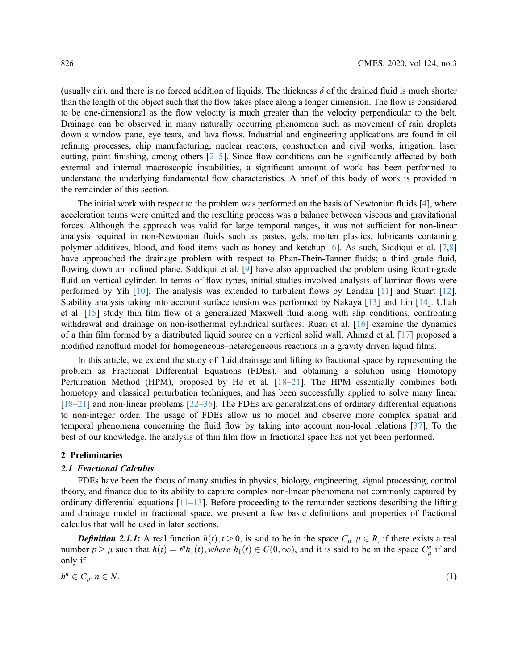(usually air), and there is no forced addition of liquids. The thickness  $\delta$  of the drained fluid is much shorter than the length of the object such that the flow takes place along a longer dimension. The flow is considered to be one-dimensional as the flow velocity is much greater than the velocity perpendicular to the belt. Drainage can be observed in many naturally occurring phenomena such as movement of rain droplets down a window pane, eye tears, and lava flows. Industrial and engineering applications are found in oil refining processes, chip manufacturing, nuclear reactors, construction and civil works, irrigation, laser cutting, paint finishing, among others  $[2-5]$  $[2-5]$  $[2-5]$  $[2-5]$  $[2-5]$ . Since flow conditions can be significantly affected by both external and internal macroscopic instabilities, a significant amount of work has been performed to understand the underlying fundamental flow characteristics. A brief of this body of work is provided in the remainder of this section.

The initial work with respect to the problem was performed on the basis of Newtonian fluids [\[4\]](#page-19-3), where acceleration terms were omitted and the resulting process was a balance between viscous and gravitational forces. Although the approach was valid for large temporal ranges, it was not sufficient for non-linear analysis required in non-Newtonian fluids such as pastes, gels, molten plastics, lubricants containing polymer additives, blood, and food items such as honey and ketchup [\[6\]](#page-19-4). As such, Siddiqui et al. [[7](#page-19-5)[,8\]](#page-19-6) have approached the drainage problem with respect to Phan-Thein-Tanner fluids; a third grade fluid, flowing down an inclined plane. Siddiqui et al. [[9](#page-19-7)] have also approached the problem using fourth-grade fluid on vertical cylinder. In terms of flow types, initial studies involved analysis of laminar flows were performed by Yih [[10\]](#page-19-8). The analysis was extended to turbulent flows by Landau [\[11\]](#page-19-9) and Stuart [[12\]](#page-19-10). Stability analysis taking into account surface tension was performed by Nakaya [[13\]](#page-19-11) and Lin [\[14](#page-19-12)]. Ullah et al. [\[15](#page-19-13)] study thin film flow of a generalized Maxwell fluid along with slip conditions, confronting withdrawal and drainage on non-isothermal cylindrical surfaces. Ruan et al. [\[16](#page-20-0)] examine the dynamics of a thin film formed by a distributed liquid source on a vertical solid wall. Ahmad et al. [[17\]](#page-20-1) proposed a modified nanofluid model for homogeneous–heterogeneous reactions in a gravity driven liquid films.

In this article, we extend the study of fluid drainage and lifting to fractional space by representing the problem as Fractional Differential Equations (FDEs), and obtaining a solution using Homotopy Perturbation Method (HPM), proposed by He et al. [\[18](#page-20-2)–[21](#page-20-3)]. The HPM essentially combines both homotopy and classical perturbation techniques, and has been successfully applied to solve many linear [[18](#page-20-2)–[21\]](#page-20-3) and non-linear problems [\[22](#page-20-4)–[36](#page-20-5)]. The FDEs are generalizations of ordinary differential equations to non-integer order. The usage of FDEs allow us to model and observe more complex spatial and temporal phenomena concerning the fluid flow by taking into account non-local relations [[37\]](#page-20-6). To the best of our knowledge, the analysis of thin film flow in fractional space has not yet been performed.

#### 2 Preliminaries

#### 2.1 Fractional Calculus

FDEs have been the focus of many studies in physics, biology, engineering, signal processing, control theory, and finance due to its ability to capture complex non-linear phenomena not commonly captured by ordinary differential equations  $[11-13]$  $[11-13]$  $[11-13]$  $[11-13]$ . Before proceeding to the remainder sections describing the lifting and drainage model in fractional space, we present a few basic definitions and properties of fractional calculus that will be used in later sections.

**Definition 2.1.1:** A real function  $h(t)$ ,  $t > 0$ , is said to be in the space  $C_{\mu}$ ,  $\mu \in R$ , if there exists a real number  $p > \mu$  such that  $h(t) = t^p h_1(t)$ , where  $h_1(t) \in C(0, \infty)$ , and it is said to be in the space  $C_{\mu}^n$  if and only if

$$
h^n \in C_{\mu}, n \in N. \tag{1}
$$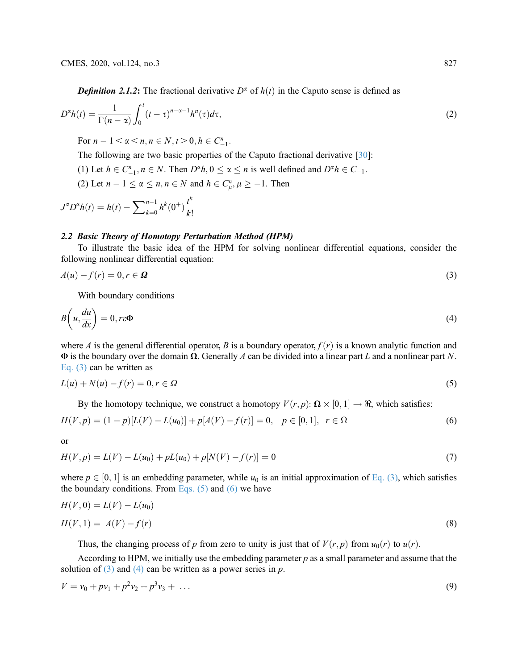$$
D^{\alpha}h(t) = \frac{1}{\Gamma(n-\alpha)} \int_0^t (t-\tau)^{n-\alpha-1} h^n(\tau) d\tau,
$$
\n(2)

For  $n - 1 < \alpha < n, n \in N, t > 0, h \in C_{-1}^{n}$ .

The following are two basic properties of the Caputo fractional derivative [[30\]](#page-20-7):

(1) Let  $h \in C_{-1}^n, n \in N$ . Then  $D^{\alpha}h, 0 \le \alpha \le n$  is well defined and  $D^{\alpha}h \in C_{-1}$ .

(2) Let  $n-1 \le \alpha \le n, n \in N$  and  $h \in C_{\mu}^n, \mu \ge -1$ . Then

$$
J^{\alpha}D^{\alpha}h(t) = h(t) - \sum_{k=0}^{n-1} h^{k}(0^{+}) \frac{t^{k}}{k!}
$$

#### 2.2 Basic Theory of Homotopy Perturbation Method (HPM)

To illustrate the basic idea of the HPM for solving nonlinear differential equations, consider the following nonlinear differential equation:

$$
A(u) - f(r) = 0, r \in \Omega
$$
\n<sup>(3)</sup>

With boundary conditions

$$
B\left(u,\frac{du}{dx}\right) = 0, r\epsilon\Phi
$$
\n(4)

<span id="page-2-2"></span>where A is the general differential operator, B is a boundary operator,  $f(r)$  is a known analytic function and  $\Phi$  is the boundary over the domain  $\Omega$ . Generally A can be divided into a linear part L and a nonlinear part N. [Eq. \(3\)](#page-2-0) can be written as

$$
L(u) + N(u) - f(r) = 0, r \in \Omega
$$
\n<sup>(5)</sup>

By the homotopy technique, we construct a homotopy  $V(r, p)$ :  $\Omega \times [0, 1] \rightarrow \Re$ , which satisfies:

$$
H(V, p) = (1 - p)[L(V) - L(u_0)] + p[A(V) - f(r)] = 0, \quad p \in [0, 1], \quad r \in \Omega
$$
\n<sup>(6)</sup>

or

$$
H(V, p) = L(V) - L(u0) + pL(u0) + p[N(V) - f(r)] = 0
$$
\n(7)

<span id="page-2-0"></span>where  $p \in [0, 1]$  is an embedding parameter, while  $u_0$  is an initial approximation of [Eq. \(3\)](#page-2-0), which satisfies the boundary conditions. From Eqs.  $(5)$  and  $(6)$  we have

<span id="page-2-3"></span>
$$
H(V,0) = L(V) - L(u_0)
$$
  

$$
H(V,1) = A(V) - f(r)
$$
 (8)

Thus, the changing process of p from zero to unity is just that of  $V(r, p)$  from  $u_0(r)$  to  $u(r)$ .

<span id="page-2-1"></span>According to HPM, we initially use the embedding parameter  $p$  as a small parameter and assume that the solution of  $(3)$  and  $(4)$  can be written as a power series in p.

$$
V = v_0 + p v_1 + p^2 v_2 + p^3 v_3 + \dots \tag{9}
$$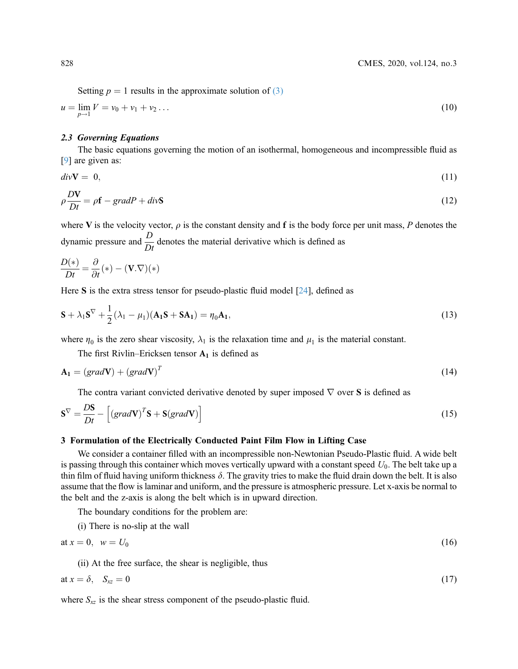Setting  $p = 1$  results in the approximate solution of [\(3\)](#page-2-0)

$$
u = \lim_{p \to 1} V = v_0 + v_1 + v_2 \dots \tag{10}
$$

#### 2.3 Governing Equations

The basic equations governing the motion of an isothermal, homogeneous and incompressible fluid as [[9](#page-19-7)] are given as:

$$
div\mathbf{V} = 0,\t(11)
$$

$$
\rho \frac{DV}{Dt} = \rho \mathbf{f} - gradP + div\mathbf{S}
$$
\n(12)

where V is the velocity vector,  $\rho$  is the constant density and f is the body force per unit mass, P denotes the dynamic pressure and  $\frac{D}{Dt}$  denotes the material derivative which is defined as

$$
\frac{D(*)}{Dt} = \frac{\partial}{\partial t} (*) - (\mathbf{V}.\nabla)(*)
$$

Here S is the extra stress tensor for pseudo-plastic fluid model [\[24](#page-20-8)], defined as

$$
\mathbf{S} + \lambda_1 \mathbf{S}^{\nabla} + \frac{1}{2} (\lambda_1 - \mu_1) (\mathbf{A}_1 \mathbf{S} + \mathbf{S} \mathbf{A}_1) = \eta_0 \mathbf{A}_1,
$$
\n(13)

where  $\eta_0$  is the zero shear viscosity,  $\lambda_1$  is the relaxation time and  $\mu_1$  is the material constant.

The first Rivlin–Ericksen tensor  $A_1$  is defined as

$$
\mathbf{A}_1 = (grad\mathbf{V}) + (grad\mathbf{V})^T
$$
 (14)

<span id="page-3-0"></span>The contra variant convicted derivative denoted by super imposed  $\nabla$  over **S** is defined as

$$
\mathbf{S}^{\nabla} = \frac{D\mathbf{S}}{Dt} - \left[ \left( \operatorname{grad} \mathbf{V} \right)^{T} \mathbf{S} + \mathbf{S} (\operatorname{grad} \mathbf{V}) \right] \tag{15}
$$

#### 3 Formulation of the Electrically Conducted Paint Film Flow in Lifting Case

We consider a container filled with an incompressible non-Newtonian Pseudo-Plastic fluid. A wide belt is passing through this container which moves vertically upward with a constant speed  $U_0$ . The belt take up a thin film of fluid having uniform thickness  $\delta$ . The gravity tries to make the fluid drain down the belt. It is also assume that the flow is laminar and uniform, and the pressure is atmospheric pressure. Let x-axis be normal to the belt and the z-axis is along the belt which is in upward direction.

The boundary conditions for the problem are:

<span id="page-3-1"></span>(i) There is no-slip at the wall

<span id="page-3-2"></span>
$$
at x = 0, \quad w = U_0 \tag{16}
$$

(ii) At the free surface, the shear is negligible, thus

$$
at x = \delta, \quad S_{xz} = 0 \tag{17}
$$

where  $S_{xz}$  is the shear stress component of the pseudo-plastic fluid.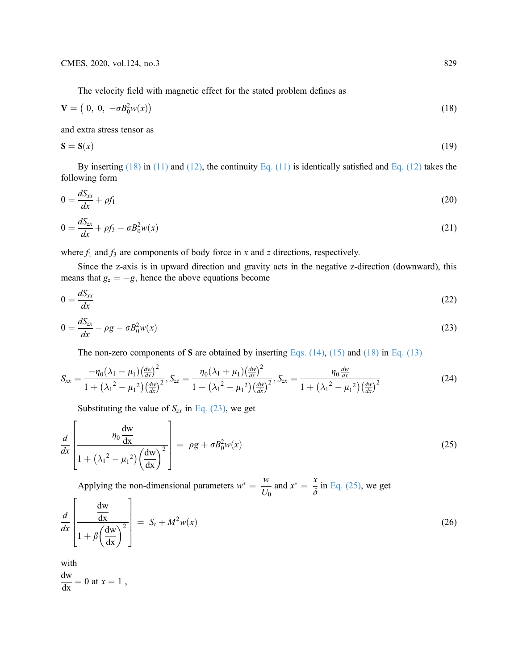<span id="page-4-1"></span>
$$
\mathbf{V} = (0, 0, -\sigma B_0^2 w(x))
$$
\n(18)

<span id="page-4-2"></span>and extra stress tensor as

$$
\mathbf{S} = \mathbf{S}(x) \tag{19}
$$

By inserting  $(18)$  in  $(11)$  and  $(12)$ , the continuity Eq.  $(11)$  is identically satisfied and Eq.  $(12)$  takes the following form

$$
0 = \frac{dS_{xx}}{dx} + \rho f_1 \tag{20}
$$

$$
0 = \frac{dS_{zx}}{dx} + \rho f_3 - \sigma B_0^2 w(x)
$$
\n(21)

where  $f_1$  and  $f_3$  are components of body force in x and z directions, respectively.

<span id="page-4-0"></span>Since the z-axis is in upward direction and gravity acts in the negative z-direction (downward), this means that  $g_z = -g$ , hence the above equations become

$$
0 = \frac{dS_{xx}}{dx} \tag{22}
$$

$$
0 = \frac{dS_{zx}}{dx} - \rho g - \sigma B_0^2 w(x) \tag{23}
$$

The non-zero components of S are obtained by inserting Eqs.  $(14)$ ,  $(15)$  and  $(18)$  in Eq.  $(13)$ 

$$
S_{xx} = \frac{-\eta_0 (\lambda_1 - \mu_1) \left(\frac{dw}{dx}\right)^2}{1 + (\lambda_1^2 - \mu_1^2) \left(\frac{dw}{dx}\right)^2}, S_{zz} = \frac{\eta_0 (\lambda_1 + \mu_1) \left(\frac{dw}{dx}\right)^2}{1 + (\lambda_1^2 - \mu_1^2) \left(\frac{dw}{dx}\right)^2}, S_{zx} = \frac{\eta_0 \frac{dw}{dx}}{1 + (\lambda_1^2 - \mu_1^2) \left(\frac{dw}{dx}\right)^2}
$$
(24)

Substituting the value of  $S_{zx}$  in [Eq. \(23\),](#page-5-0) we get

$$
\frac{d}{dx}\left[\frac{\eta_0 \frac{dw}{dx}}{1 + (\lambda_1^2 - \mu_1^2) \left(\frac{dw}{dx}\right)^2}\right] = \rho g + \sigma B_0^2 w(x)
$$
\n(25)

Applying the non-dimensional parameters  $w^* = \frac{w}{U_0}$  and  $x^* = \frac{x}{\delta}$  in [Eq. \(25\),](#page-5-1) we get  $\Gamma$ 3

$$
\frac{d}{dx}\left[\frac{\frac{dw}{dx}}{1+\beta\left(\frac{dw}{dx}\right)^2}\right] = S_t + M^2 w(x)
$$
\n(26)

with

 $\mathbf{r}$ 

 $\frac{dw}{dx} = 0$  at  $x = 1$ ,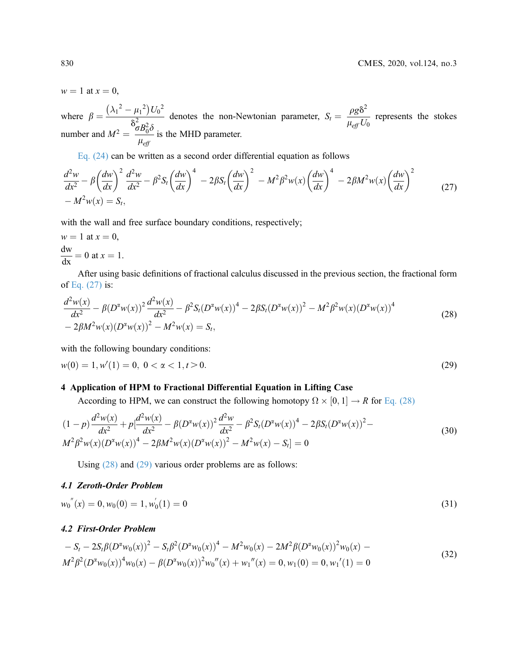$w = 1$  at  $x = 0$ ,

where  $\beta = \frac{(\lambda_1^2 - \mu_1^2)U_0^2}{\delta_0^2 R^2 \delta}$  denotes the non-Newtonian parameter,  $S_t = \frac{\rho g \delta^2}{\mu_{eff} U_0}$  represents the stokes number and  $M^2 = \frac{{}^{\circ}\sigma B_0^2 \delta}{\mu}$  $\frac{\mu_{eff}}{\mu_{eff}}$  is the MHD parameter.

[Eq. \(24\)](#page-5-2) can be written as a second order differential equation as follows

$$
\frac{d^2w}{dx^2} - \beta \left(\frac{dw}{dx}\right)^2 \frac{d^2w}{dx^2} - \beta^2 S_t \left(\frac{dw}{dx}\right)^4 - 2\beta S_t \left(\frac{dw}{dx}\right)^2 - M^2 \beta^2 w(x) \left(\frac{dw}{dx}\right)^4 - 2\beta M^2 w(x) \left(\frac{dw}{dx}\right)^2 - M^2 w(x) = S_t,
$$
\n(27)

with the wall and free surface boundary conditions, respectively;

$$
w = 1 \text{ at } x = 0,
$$
  
\n
$$
\frac{dw}{dx} = 0 \text{ at } x = 1.
$$

<span id="page-5-0"></span>After using basic definitions of fractional calculus discussed in the previous section, the fractional form of [Eq. \(27\)](#page-7-0) is:

$$
\frac{d^2w(x)}{dx^2} - \beta (D^{\alpha}w(x))^2 \frac{d^2w(x)}{dx^2} - \beta^2 S_t (D^{\alpha}w(x))^4 - 2\beta S_t (D^{\alpha}w(x))^2 - M^2 \beta^2 w(x) (D^{\alpha}w(x))^4 - 2\beta M^2 w(x) (D^{\alpha}w(x))^2 - M^2 w(x) = S_t,
$$
\n(28)

<span id="page-5-2"></span>with the following boundary conditions:

$$
w(0) = 1, w'(1) = 0, \ 0 < \alpha < 1, t > 0. \tag{29}
$$

## 4 Application of HPM to Fractional Differential Equation in Lifting Case

According to HPM, we can construct the following homotopy  $\Omega \times [0, 1] \rightarrow R$  for [Eq. \(28\)](#page-7-1)

$$
(1-p)\frac{d^2w(x)}{dx^2} + p\frac{d^2w(x)}{dx^2} - \beta(D^{\alpha}w(x))^2\frac{d^2w}{dx^2} - \beta^2S_t(D^{\alpha}w(x))^4 - 2\beta S_t(D^{\alpha}w(x))^2 - M^2\beta^2w(x)(D^{\alpha}w(x))^4 - 2\beta M^2w(x)(D^{\alpha}w(x))^2 - M^2w(x) - S_t] = 0
$$
\n(30)

Using [\(28\)](#page-7-1) and [\(29\)](#page-7-2) various order problems are as follows:

#### <span id="page-5-1"></span>4.1 Zeroth-Order Problem

$$
w_0^{''}(x) = 0, w_0(0) = 1, w'_0(1) = 0
$$
\n(31)

#### 4.2 First-Order Problem

$$
-S_t - 2S_t \beta (D^{\alpha} w_0(x))^2 - S_t \beta^2 (D^{\alpha} w_0(x))^4 - M^2 w_0(x) - 2M^2 \beta (D^{\alpha} w_0(x))^2 w_0(x) - M^2 \beta^2 (D^{\alpha} w_0(x))^4 w_0(x) - \beta (D^{\alpha} w_0(x))^2 w_0''(x) + w_1''(x) = 0, w_1(0) = 0, w_1'(1) = 0
$$
\n(32)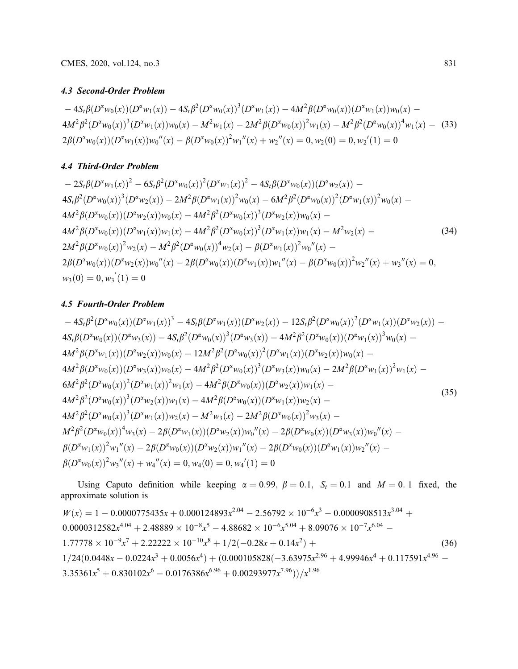## 4.3 Second-Order Problem

 $-4S_t\beta(D^{\alpha}w_0(x))(D^{\alpha}w_1(x)) - 4S_t\beta^2(D^{\alpha}w_0(x))^3(D^{\alpha}w_1(x)) - 4M^2\beta(D^{\alpha}w_0(x))(D^{\alpha}w_1(x))w_0(x) 4M^2\beta^2(D^{\alpha}w_0(x))^3(D^{\alpha}w_1(x))w_0(x) - M^2w_1(x) - 2M^2\beta(D^{\alpha}w_0(x))^2w_1(x) - M^2\beta^2(D^{\alpha}w_0(x))^4w_1(x) -$  (33)  $2\beta(D^{\alpha}w_0(x))(D^{\alpha}w_1(x))w_0''(x) - \beta(D^{\alpha}w_0(x))^2w_1''(x) + w_2''(x) = 0, w_2(0) = 0, w_2'(1) = 0$ 

## 4.4 Third-Order Problem

$$
-2S_{t}\beta(D^{\alpha}w_{1}(x))^{2} - 6S_{t}\beta^{2}(D^{\alpha}w_{0}(x))^{2}(D^{\alpha}w_{1}(x))^{2} - 4S_{t}\beta(D^{\alpha}w_{0}(x))(D^{\alpha}w_{2}(x)) - 4S_{t}\beta^{2}(D^{\alpha}w_{0}(x))^{3}(D^{\alpha}w_{2}(x)) - 2M^{2}\beta(D^{\alpha}w_{1}(x))^{2}w_{0}(x) - 6M^{2}\beta^{2}(D^{\alpha}w_{0}(x))^{2}(D^{\alpha}w_{1}(x))^{2}w_{0}(x) - 4M^{2}\beta(D^{\alpha}w_{0}(x))(D^{\alpha}w_{2}(x))w_{0}(x) - 4M^{2}\beta(D^{\alpha}w_{0}(x))(D^{\alpha}w_{2}(x))w_{0}(x) - 4M^{2}\beta(D^{\alpha}w_{0}(x))(D^{\alpha}w_{1}(x))w_{1}(x) - 4M^{2}\beta^{2}(D^{\alpha}w_{0}(x))^{3}(D^{\alpha}w_{1}(x))w_{1}(x) - M^{2}w_{2}(x) - 4M^{2}\beta(D^{\alpha}w_{0}(x))^{2}w_{2}(x) - M^{2}\beta^{2}(D^{\alpha}w_{0}(x))^{4}w_{2}(x) - \beta(D^{\alpha}w_{1}(x))^{2}w_{0}''(x) - 2\beta(D^{\alpha}w_{0}(x))(D^{\alpha}w_{2}(x))w_{0}''(x) - 2\beta(D^{\alpha}w_{0}(x))(D^{\alpha}w_{1}(x))w_{1}''(x) - \beta(D^{\alpha}w_{0}(x))^{2}w_{2}''(x) + w_{3}''(x) = 0, w_{3}(0) = 0, w_{3}(1) = 0
$$
\n(8.18)

## 4.5 Fourth-Order Problem

$$
-4S_{t}\beta^{2}(D^{2}w_{0}(x))(D^{2}w_{1}(x))^{3}-4S_{t}\beta(D^{2}w_{1}(x))(D^{2}w_{2}(x))-12S_{t}\beta^{2}(D^{2}w_{0}(x))^{2}(D^{2}w_{1}(x))(D^{2}w_{2}(x)) -4S_{t}\beta(D^{2}w_{0}(x))(D^{2}w_{3}(x))-4S_{t}\beta^{2}(D^{2}w_{0}(x))^{3}(D^{2}w_{3}(x))-4M^{2}\beta^{2}(D^{2}w_{0}(x))(D^{2}w_{1}(x))^{3}w_{0}(x) -4M^{2}\beta(D^{2}w_{1}(x))(D^{2}w_{2}(x))w_{0}(x)-12M^{2}\beta^{2}(D^{2}w_{0}(x))^{2}(D^{2}w_{1}(x))(D^{2}w_{2}(x))w_{0}(x) -4M^{2}\beta(D^{2}w_{0}(x))(D^{2}w_{3}(x))w_{0}(x)-4M^{2}\beta(D^{2}w_{0}(x))^{2}(D^{2}w_{1}(x))^{2}w_{1}(x)-4M^{2}\beta(D^{2}w_{0}(x))^{3}(D^{2}w_{3}(x))w_{0}(x)-2M^{2}\beta(D^{2}w_{1}(x))^{2}w_{1}(x)-6M^{2}\beta^{2}(D^{2}w_{0}(x))^{2}(D^{2}w_{1}(x)-4M^{2}\beta(D^{2}w_{0}(x))(D^{2}w_{2}(x))w_{1}(x)-4M^{2}\beta^{2}(D^{2}w_{0}(x))^{3}(D^{2}w_{2}(x))w_{1}(x)-4M^{2}\beta(D^{2}w_{0}(x))(D^{2}w_{1}(x))w_{2}(x)-4M^{2}\beta^{2}(D^{2}w_{0}(x))^{3}(D^{2}w_{1}(x))w_{2}(x)-M^{2}w_{3}(x)-2M^{2}\beta(D^{2}w_{0}(x))^{2}w_{3}(x)-
$$
\n
$$
4M^{2}\beta^{2}(D^{2}w_{0}(x))^{3}(D^{2}w_{1}(x))w_{2}(x)-M^{2}w_{3}(x)-2M^{2}\beta(D^{2}w_{0}(x))^{2}w_{3}(x)-
$$
\n
$$
M^{2}\beta^{2}(D^{2}w_{0}(x))^{4}w_{3}(x)-2\beta(D^{2}w_{1}(x))(D^{2}w_{2
$$

Using Caputo definition while keeping  $\alpha = 0.99$ ,  $\beta = 0.1$ ,  $S_t = 0.1$  and  $M = 0.1$  fixed, the approximate solution is

$$
W(x) = 1 - 0.0000775435x + 0.000124893x^{2.04} - 2.56792 \times 10^{-6}x^3 - 0.0000908513x^{3.04} + 0.0000312582x^{4.04} + 2.48889 \times 10^{-8}x^5 - 4.88682 \times 10^{-6}x^{5.04} + 8.09076 \times 10^{-7}x^{6.04} - 1.77778 \times 10^{-9}x^7 + 2.22222 \times 10^{-10}x^8 + 1/2(-0.28x + 0.14x^2) + 1/24(0.0448x - 0.0224x^3 + 0.0056x^4) + (0.000105828(-3.63975x^{2.96} + 4.99946x^4 + 0.117591x^{4.96} - 3.35361x^5 + 0.830102x^6 - 0.0176386x^{6.96} + 0.00293977x^{7.96}))/x^{1.96}
$$
\n(36)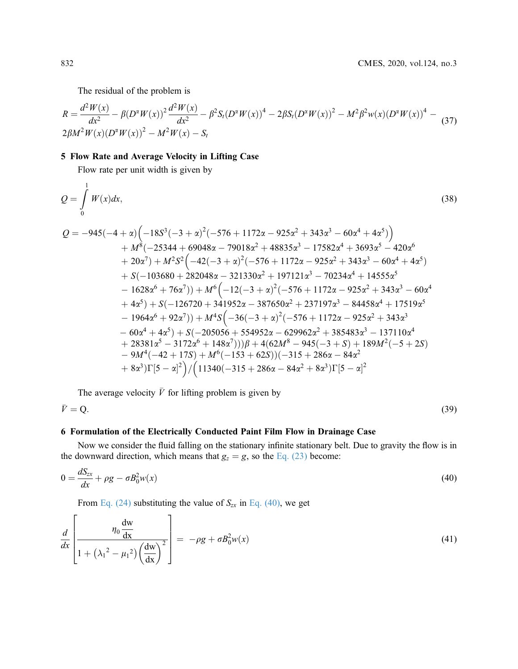<span id="page-7-0"></span>The residual of the problem is

$$
R = \frac{d^2 W(x)}{dx^2} - \beta (D^{\alpha} W(x))^2 \frac{d^2 W(x)}{dx^2} - \beta^2 S_t (D^{\alpha} W(x))^4 - 2\beta S_t (D^{\alpha} W(x))^2 - M^2 \beta^2 w(x) (D^{\alpha} W(x))^4 - (37)
$$
  
2 $\beta M^2 W(x) (D^{\alpha} W(x))^2 - M^2 W(x) - S_t$ 

#### <span id="page-7-1"></span>5 Flow Rate and Average Velocity in Lifting Case

Flow rate per unit width is given by

$$
Q = \int_{0}^{1} W(x)dx,
$$
\n(38)  
\n
$$
Q = -945(-4 + \alpha)\left(-18S^{3}(-3 + \alpha)^{2}(-576 + 1172\alpha - 925\alpha^{2} + 343\alpha^{3} - 60\alpha^{4} + 4\alpha^{5})\right)
$$
\n
$$
+ M^{8}(-25344 + 69048\alpha - 79018\alpha^{2} + 48835\alpha^{3} - 17582\alpha^{4} + 3693\alpha^{5} - 420\alpha^{6} + 20\alpha^{7}\right) + M^{2}S^{2}\left(-42(-3 + \alpha)^{2}(-576 + 1172\alpha - 925\alpha^{2} + 343\alpha^{3} - 60\alpha^{4} + 4\alpha^{5})\right)
$$
\n
$$
+ S(-103680 + 282048\alpha - 321330\alpha^{2} + 197121\alpha^{3} - 70234\alpha^{4} + 14555\alpha^{5} - 1628\alpha^{6} + 76\alpha^{7})\right) + M^{6}\left(-12(-3 + \alpha)^{2}(-576 + 1172\alpha - 925\alpha^{2} + 343\alpha^{3} - 60\alpha^{4} + 4\alpha^{5}) + S(-126720 + 341952\alpha - 387650\alpha^{2} + 237197\alpha^{3} - 84458\alpha^{4} + 17519\alpha^{5} - 1964\alpha^{6} + 92\alpha^{7})\right) + M^{4}S\left(-36(-3 + \alpha)^{2}(-576 + 1172\alpha - 925\alpha^{2} + 343\alpha^{3} - 60\alpha^{4} + 4\alpha^{5}\right) + S(-205056 + 554952\alpha - 629962\alpha^{2} + 385483\alpha^{3} - 137110\alpha^{4} + 28381\alpha^{5} - 3172\alpha^{6} + 148\alpha^{7})\right) + 4(62M^{8} - 945(-3 + S) + 189M^{2}(-5 + 2S) - 9M^{4}(-42 + 17S
$$

<span id="page-7-2"></span>The average velocity  $\bar{V}$  for lifting problem is given by

 $\bar{V} = Q.$  (39)

## 6 Formulation of the Electrically Conducted Paint Film Flow in Drainage Case

Now we consider the fluid falling on the stationary infinite stationary belt. Due to gravity the flow is in the downward direction, which means that  $g_z = g$ , so the [Eq. \(23\)](#page-5-0) become:

$$
0 = \frac{dS_{zx}}{dx} + \rho g - \sigma B_0^2 w(x) \tag{40}
$$

From [Eq. \(24\)](#page-5-2) substituting the value of  $S_{zx}$  in [Eq. \(40\),](#page-10-0) we get

$$
\frac{d}{dx}\left[\frac{\eta_0 \frac{dw}{dx}}{1 + (\lambda_1^2 - \mu_1^2) \left(\frac{dw}{dx}\right)^2}\right] = -\rho g + \sigma B_0^2 w(x)
$$
\n(41)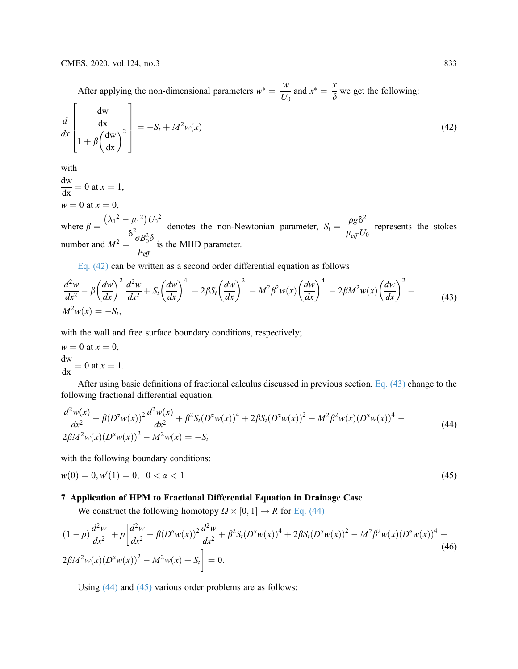After applying the non-dimensional parameters  $w^* = \frac{w}{U_0}$  and  $x^* = \frac{x}{\delta}$  we get the following:  $\Gamma$ 7

$$
\frac{d}{dx}\left[\frac{\frac{dw}{dx}}{1 + \beta\left(\frac{dw}{dx}\right)^2}\right] = -S_t + M^2 w(x)
$$
\n(42)

with

 $\frac{dw}{dx} = 0$  at  $x = 1$ ,  $w = 0$  at  $x = 0$ ,

where  $\beta = \frac{(\lambda_1^2 - \mu_1^2)U_0^2}{\delta^2 \sigma R^2 \delta}$  denotes the non-Newtonian parameter,  $S_t = \frac{\rho g \delta^2}{\mu_{eff} U_0}$  represents the stokes number and  $M^2 = \frac{\sigma B_0^2 \delta}{\mu \epsilon}$  $\frac{\mu_{eff}}{\mu_{eff}}$  is the MHD parameter.

Eq. (42) can be written as a second order differential equation as follows

$$
\frac{d^2w}{dx^2} - \beta \left(\frac{dw}{dx}\right)^2 \frac{d^2w}{dx^2} + S_t \left(\frac{dw}{dx}\right)^4 + 2\beta S_t \left(\frac{dw}{dx}\right)^2 - M^2 \beta^2 w(x) \left(\frac{dw}{dx}\right)^4 - 2\beta M^2 w(x) \left(\frac{dw}{dx}\right)^2 - M^2 w(x) = -S_t,
$$
\n(43)

with the wall and free surface boundary conditions, respectively;

$$
w = 0 \text{ at } x = 0,
$$
  

$$
\frac{dw}{dx} = 0 \text{ at } x = 1.
$$

After using basic definitions of fractional calculus discussed in previous section, Eq. (43) change to the following fractional differential equation:

$$
\frac{d^2w(x)}{dx^2} - \beta (D^{\alpha}w(x))^2 \frac{d^2w(x)}{dx^2} + \beta^2 S_t (D^{\alpha}w(x))^4 + 2\beta S_t (D^{\alpha}w(x))^2 - M^2 \beta^2 w(x) (D^{\alpha}w(x))^4 - 2\beta M^2 w(x) (D^{\alpha}w(x))^2 - M^2 w(x) = -S_t
$$
\n(44)

with the following boundary conditions:

$$
w(0) = 0, w'(1) = 0, \quad 0 < \alpha < 1 \tag{45}
$$

#### 7 Application of HPM to Fractional Differential Equation in Drainage Case

We construct the following homotopy  $\Omega \times [0, 1] \rightarrow R$  for Eq. (44)

$$
(1-p)\frac{d^2w}{dx^2} + p\left[\frac{d^2w}{dx^2} - \beta(D^{\alpha}w(x))^2\frac{d^2w}{dx^2} + \beta^2S_t(D^{\alpha}w(x))^4 + 2\beta S_t(D^{\alpha}w(x))^2 - M^2\beta^2w(x)(D^{\alpha}w(x))^4 - 2\beta M^2w(x)(D^{\alpha}w(x))^2 - M^2w(x) + S_t\right] = 0.
$$
\n(46)

Using (44) and (45) various order problems are as follows: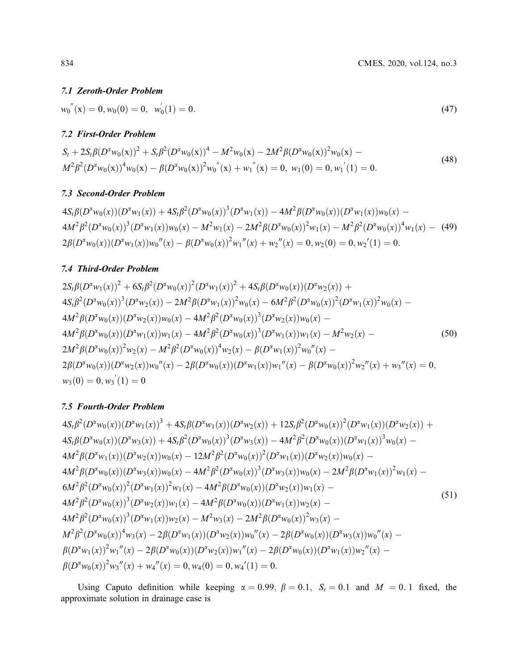#### 7.1 Zeroth-Order Problem

 $w_0^{''}(\mathbf{x}) = 0, w_0(0) = 0, w'_0$  $\zeta_0(1) = 0.$  (47)

## 7.2 First-Order Problem

 $S_t + 2S_t\beta(D^{\alpha}w_0(\mathbf{x}))^2 + S_t\beta^2(D^{\alpha}w_0(\mathbf{x}))^4 - M^2w_0(\mathbf{x}) - 2M^2\beta(D^{\alpha}w_0(\mathbf{x}))^2w_0(\mathbf{x}) M^{2} \beta^{2} (D^{2} w_{0}(\mathbf{x}))^{4} w_{0}(\mathbf{x}) - \beta (D^{2} w_{0}(\mathbf{x}))^{2} w_{0}^{''}(\mathbf{x}) + w_{1}^{''}(\mathbf{x}) = 0, w_{1}(0) = 0, w_{1}^{'}$  $(1) = 0.$  (48)

## 7.3 Second-Order Problem

 $4S_t\beta(D^{\alpha}w_0(x))(D^{\alpha}w_1(x)) + 4S_t\beta^2(D^{\alpha}w_0(x))^3(D^{\alpha}w_1(x)) - 4M^2\beta(D^{\alpha}w_0(x))(D^{\alpha}w_1(x))w_0(x) 4M^2\beta^2(D^{\alpha}w_0(x))^3(D^{\alpha}w_1(x))w_0(x) - M^2w_1(x) - 2M^2\beta(D^{\alpha}w_0(x))^2w_1(x) - M^2\beta^2(D^{\alpha}w_0(x))^4w_1(x) -$  (49)  $2\beta(D^{\alpha}w_0(x))(D^{\alpha}w_1(x))w_0''(x) - \beta(D^{\alpha}w_0(x))^2w_1''(x) + w_2''(x) = 0, w_2(0) = 0, w_2'(1) = 0.$ 

## 7.4 Third-Order Problem

$$
2S_{t}\beta(D^{2}w_{1}(x))^{2} + 6S_{t}\beta^{2}(D^{2}w_{0}(x))^{2}(D^{2}w_{1}(x))^{2} + 4S_{t}\beta(D^{2}w_{0}(x))(D^{2}w_{2}(x)) +
$$
  
\n
$$
4S_{t}\beta^{2}(D^{2}w_{0}(x))^{3}(D^{2}w_{2}(x)) - 2M^{2}\beta(D^{2}w_{1}(x))^{2}w_{0}(x) - 6M^{2}\beta^{2}(D^{2}w_{0}(x))^{2}(D^{2}w_{1}(x))^{2}w_{0}(x) -
$$
  
\n
$$
4M^{2}\beta(D^{2}w_{0}(x))(D^{2}w_{2}(x))w_{0}(x) - 4M^{2}\beta^{2}(D^{2}w_{0}(x))^{3}(D^{2}w_{2}(x))w_{0}(x) -
$$
  
\n
$$
4M^{2}\beta(D^{2}w_{0}(x))(D^{2}w_{1}(x))w_{1}(x) - 4M^{2}\beta^{2}(D^{2}w_{0}(x))^{3}(D^{2}w_{1}(x))w_{1}(x) - M^{2}w_{2}(x) -
$$
  
\n
$$
2M^{2}\beta(D^{2}w_{0}(x))^{2}w_{2}(x) - M^{2}\beta^{2}(D^{2}w_{0}(x))^{4}w_{2}(x) - \beta(D^{2}w_{1}(x))^{2}w_{0}''(x) -
$$
  
\n
$$
2\beta(D^{2}w_{0}(x))(D^{2}w_{2}(x))w_{0}''(x) - 2\beta(D^{2}w_{0}(x))(D^{2}w_{1}(x))w_{1}''(x) - \beta(D^{2}w_{0}(x))^{2}w_{2}''(x) + w_{3}''(x) = 0,
$$
  
\n
$$
w_{3}(0) = 0, w_{3}'(1) = 0
$$
 (11)

## 7.5 Fourth-Order Problem

$$
4S_{t}\beta^{2}(D^{2}w_{0}(x))(D^{2}w_{1}(x))^{3} + 4S_{t}\beta(D^{2}w_{1}(x))(D^{2}w_{2}(x)) + 12S_{t}\beta^{2}(D^{2}w_{0}(x))^{2}(D^{2}w_{1}(x))(D^{2}w_{2}(x)) +
$$
  
\n
$$
4S_{t}\beta(D^{2}w_{0}(x))(D^{2}w_{3}(x)) + 4S_{t}\beta^{2}(D^{2}w_{0}(x))^{3}(D^{2}w_{3}(x)) - 4M^{2}\beta^{2}(D^{2}w_{0}(x))(D^{2}w_{1}(x))^{3}w_{0}(x) -
$$
  
\n
$$
4M^{2}\beta(D^{2}w_{1}(x))(D^{2}w_{2}(x))w_{0}(x) - 12M^{2}\beta^{2}(D^{2}w_{0}(x))^{2}(D^{2}w_{1}(x))(D^{2}w_{2}(x))w_{0}(x) -
$$
  
\n
$$
4M^{2}\beta(D^{2}w_{0}(x))(D^{2}w_{3}(x))w_{0}(x) - 4M^{2}\beta^{2}(D^{2}w_{0}(x))^{3}(D^{2}w_{3}(x))w_{0}(x) - 2M^{2}\beta(D^{2}w_{1}(x))^{2}w_{1}(x) -
$$
  
\n
$$
6M^{2}\beta^{2}(D^{2}w_{0}(x))^{2}(D^{2}w_{1}(x))^{2}w_{1}(x) - 4M^{2}\beta(D^{2}w_{0}(x))(D^{2}w_{2}(x))w_{1}(x) -
$$
  
\n
$$
4M^{2}\beta^{2}(D^{2}w_{0}(x))^{3}(D^{2}w_{2}(x))w_{1}(x) - 4M^{2}\beta(D^{2}w_{0}(x))(D^{2}w_{1}(x))w_{2}(x) -
$$
  
\n
$$
4M^{2}\beta^{2}(D^{2}w_{0}(x))^{3}(D^{2}w_{1}(x))w_{2}(x) - M^{2}w_{3}(x) - 2M^{2}\beta(D^{2}w_{0}(x))^{2}w_{3}(x) -
$$
  
\n
$$
4M^{2}\beta^{2}(D^{2}w_{0}(x))^{4}w_{3}(x) - 2\beta(D^{2}w_{1}(x))(D^{2}w_{2}(x))w_{0}''
$$

Using Caputo definition while keeping  $\alpha = 0.99$ ,  $\beta = 0.1$ ,  $S_t = 0.1$  and  $M = 0.1$  fixed, the approximate solution in drainage case is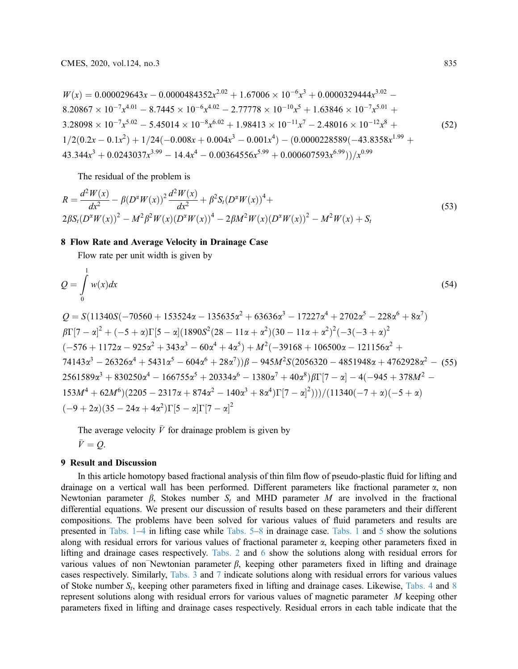$$
W(x) = 0.000029643x - 0.0000484352x^{2.02} + 1.67006 \times 10^{-6}x^3 + 0.0000329444x^{3.02} - 8.20867 \times 10^{-7}x^{4.01} - 8.7445 \times 10^{-6}x^{4.02} - 2.77778 \times 10^{-10}x^5 + 1.63846 \times 10^{-7}x^{5.01} + 3.28098 \times 10^{-7}x^{5.02} - 5.45014 \times 10^{-8}x^{6.02} + 1.98413 \times 10^{-11}x^7 - 2.48016 \times 10^{-12}x^8 + 1/2(0.2x - 0.1x^2) + 1/24(-0.008x + 0.004x^3 - 0.001x^4) - (0.00000228589(-43.8358x^{1.99} + 43.344x^3 + 0.0243037x^{3.99} - 14.4x^4 - 0.00364556x^{5.99} + 0.000607593x^{6.99}))/x^{0.99}
$$
\n(52)

<span id="page-10-0"></span>The residual of the problem is

$$
R = \frac{d^2 W(x)}{dx^2} - \beta (D^{\alpha} W(x))^2 \frac{d^2 W(x)}{dx^2} + \beta^2 S_t (D^{\alpha} W(x))^4 +
$$
  
\n
$$
2\beta S_t (D^{\alpha} W(x))^2 - M^2 \beta^2 W(x) (D^{\alpha} W(x))^4 - 2\beta M^2 W(x) (D^{\alpha} W(x))^2 - M^2 W(x) + S_t
$$
\n(53)

#### 8 Flow Rate and Average Velocity in Drainage Case

Flow rate per unit width is given by

$$
Q = \int_{0}^{1} w(x)dx
$$
\n(54)

$$
Q = S(11340S(-70560 + 153524\alpha - 135635\alpha^2 + 63636\alpha^3 - 17227\alpha^4 + 2702\alpha^5 - 228\alpha^6 + 8\alpha^7)
$$
  
\n
$$
\beta\Gamma[7 - \alpha]^2 + (-5 + \alpha)\Gamma[5 - \alpha](1890S^2(28 - 11\alpha + \alpha^2)(30 - 11\alpha + \alpha^2)^2(-3(-3 + \alpha)^2
$$
  
\n
$$
(-576 + 1172\alpha - 925\alpha^2 + 343\alpha^3 - 60\alpha^4 + 4\alpha^5) + M^2(-39168 + 106500\alpha - 121156\alpha^2 +
$$
  
\n
$$
74143\alpha^3 - 26326\alpha^4 + 5431\alpha^5 - 604\alpha^6 + 28\alpha^7))\beta - 945M^2S(2056320 - 4851948\alpha + 4762928\alpha^2 - (55)
$$
  
\n
$$
2561589\alpha^3 + 830250\alpha^4 - 166755\alpha^5 + 20334\alpha^6 - 1380\alpha^7 + 40\alpha^8)\beta\Gamma[7 - \alpha] - 4(-945 + 378M^2 -
$$
  
\n
$$
153M^4 + 62M^6)(2205 - 2317\alpha + 874\alpha^2 - 140\alpha^3 + 8\alpha^4)\Gamma[7 - \alpha]^2)))/((11340(-7 + \alpha)(-5 + \alpha)(-5 + \alpha)(-9 + 2\alpha)(35 - 24\alpha + 4\alpha^2)\Gamma[5 - \alpha]\Gamma[7 - \alpha]^2)
$$

The average velocity  $\bar{V}$  for drainage problem is given by

 $\bar{V} = Q$ .

#### 9 Result and Discussion

In this article homotopy based fractional analysis of thin film flow of pseudo-plastic fluid for lifting and drainage on a vertical wall has been performed. Different parameters like fractional parameter  $\alpha$ , non Newtonian parameter  $\beta$ , Stokes number  $S_t$  and MHD parameter M are involved in the fractional differential equations. We present our discussion of results based on these parameters and their different compositions. The problems have been solved for various values of fluid parameters and results are presented in [Tabs. 1](#page-11-0)–[4](#page-12-0) in lifting case while [Tabs. 5](#page-13-0)–[8](#page-14-0) in drainage case. [Tabs. 1](#page-11-0) and [5](#page-13-0) show the solutions along with residual errors for various values of fractional parameter  $\alpha$ , keeping other parameters fixed in lifting and drainage cases respectively. [Tabs. 2](#page-11-1) and [6](#page-13-1) show the solutions along with residual errors for various values of non Newtonian parameter  $\beta$ , keeping other parameters fixed in lifting and drainage cases respectively. Similarly, [Tabs. 3](#page-12-1) and [7](#page-14-1) indicate solutions along with residual errors for various values of Stoke number  $S_t$ , keeping other parameters fixed in lifting and drainage cases. Likewise, [Tabs. 4](#page-12-0) and [8](#page-14-0) represent solutions along with residual errors for various values of magnetic parameter M keeping other parameters fixed in lifting and drainage cases respectively. Residual errors in each table indicate that the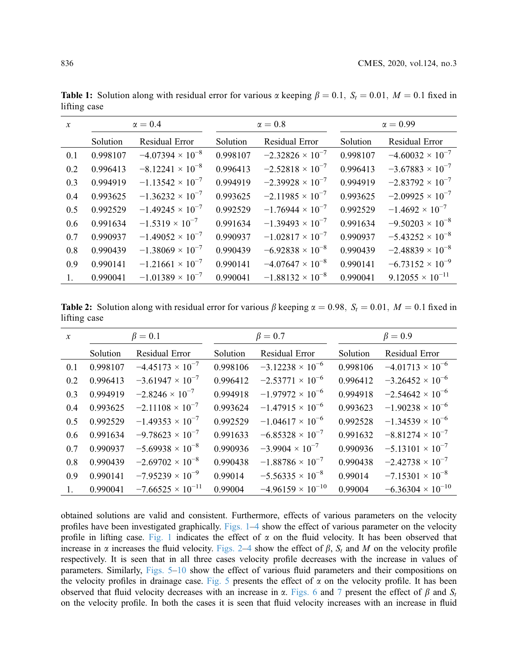| $\mathcal{X}$ | $\alpha = 0.4$ |                           |          | $\alpha = 0.8$            |          | $\alpha = 0.99$           |  |
|---------------|----------------|---------------------------|----------|---------------------------|----------|---------------------------|--|
|               | Solution       | Residual Error            | Solution | Residual Error            | Solution | Residual Error            |  |
| 0.1           | 0.998107       | $-4.07394 \times 10^{-8}$ | 0.998107 | $-2.32826 \times 10^{-7}$ | 0.998107 | $-4.60032 \times 10^{-7}$ |  |
| 0.2           | 0.996413       | $-8.12241 \times 10^{-8}$ | 0.996413 | $-2.52818 \times 10^{-7}$ | 0.996413 | $-3.67883 \times 10^{-7}$ |  |
| 0.3           | 0.994919       | $-1.13542 \times 10^{-7}$ | 0.994919 | $-2.39928 \times 10^{-7}$ | 0.994919 | $-2.83792 \times 10^{-7}$ |  |
| 0.4           | 0.993625       | $-1.36232 \times 10^{-7}$ | 0.993625 | $-2.11985 \times 10^{-7}$ | 0.993625 | $-2.09925 \times 10^{-7}$ |  |
| 0.5           | 0.992529       | $-1.49245 \times 10^{-7}$ | 0.992529 | $-1.76944 \times 10^{-7}$ | 0.992529 | $-1.4692 \times 10^{-7}$  |  |
| 0.6           | 0.991634       | $-1.5319 \times 10^{-7}$  | 0.991634 | $-1.39493 \times 10^{-7}$ | 0.991634 | $-9.50203 \times 10^{-8}$ |  |
| 0.7           | 0.990937       | $-1.49052 \times 10^{-7}$ | 0.990937 | $-1.02817 \times 10^{-7}$ | 0.990937 | $-5.43252 \times 10^{-8}$ |  |
| 0.8           | 0.990439       | $-1.38069 \times 10^{-7}$ | 0.990439 | $-6.92838 \times 10^{-8}$ | 0.990439 | $-2.48839 \times 10^{-8}$ |  |
| 0.9           | 0.990141       | $-1.21661 \times 10^{-7}$ | 0.990141 | $-4.07647 \times 10^{-8}$ | 0.990141 | $-6.73152 \times 10^{-9}$ |  |
|               | 0.990041       | $-1.01389 \times 10^{-7}$ | 0.990041 | $-1.88132 \times 10^{-8}$ | 0.990041 | $9.12055 \times 10^{-11}$ |  |

<span id="page-11-0"></span>**Table 1:** Solution along with residual error for various  $\alpha$  keeping  $\beta = 0.1$ ,  $S_t = 0.01$ ,  $M = 0.1$  fixed in lifting case

<span id="page-11-1"></span>**Table 2:** Solution along with residual error for various  $\beta$  keeping  $\alpha = 0.98$ ,  $S_t = 0.01$ ,  $M = 0.1$  fixed in lifting case

| $\boldsymbol{\chi}$ | $\beta = 0.1$ |                            |          | $\beta = 0.7$              | $\beta = 0.9$ |                            |
|---------------------|---------------|----------------------------|----------|----------------------------|---------------|----------------------------|
|                     | Solution      | Residual Error             | Solution | Residual Error             | Solution      | Residual Error             |
| 0.1                 | 0.998107      | $-4.45173 \times 10^{-7}$  | 0.998106 | $-3.12238 \times 10^{-6}$  | 0.998106      | $-4.01713 \times 10^{-6}$  |
| 0.2                 | 0.996413      | $-3.61947 \times 10^{-7}$  | 0.996412 | $-2.53771 \times 10^{-6}$  | 0.996412      | $-3.26452 \times 10^{-6}$  |
| 0.3                 | 0.994919      | $-2.8246 \times 10^{-7}$   | 0.994918 | $-1.97972 \times 10^{-6}$  | 0.994918      | $-2.54642 \times 10^{-6}$  |
| 0.4                 | 0.993625      | $-2.11108 \times 10^{-7}$  | 0.993624 | $-1.47915 \times 10^{-6}$  | 0.993623      | $-1.90238 \times 10^{-6}$  |
| 0.5                 | 0.992529      | $-1.49353 \times 10^{-7}$  | 0.992529 | $-1.04617 \times 10^{-6}$  | 0.992528      | $-1.34539 \times 10^{-6}$  |
| 0.6                 | 0.991634      | $-9.78623 \times 10^{-7}$  | 0.991633 | $-6.85328 \times 10^{-7}$  | 0.991632      | $-8.81274 \times 10^{-7}$  |
| 0.7                 | 0.990937      | $-5.69938 \times 10^{-8}$  | 0.990936 | $-3.9904 \times 10^{-7}$   | 0.990936      | $-5.13101 \times 10^{-7}$  |
| 0.8                 | 0.990439      | $-2.69702 \times 10^{-8}$  | 0.990438 | $-1.88786 \times 10^{-7}$  | 0.990438      | $-2.42738 \times 10^{-7}$  |
| 0.9                 | 0.990141      | $-7.95239 \times 10^{-9}$  | 0.99014  | $-5.56335 \times 10^{-8}$  | 0.99014       | $-7.15301 \times 10^{-8}$  |
| 1.                  | 0.990041      | $-7.66525 \times 10^{-11}$ | 0.99004  | $-4.96159 \times 10^{-10}$ | 0.99004       | $-6.36304 \times 10^{-10}$ |

obtained solutions are valid and consistent. Furthermore, effects of various parameters on the velocity profiles have been investigated graphically. [Figs. 1](#page-15-0)–[4](#page-16-0) show the effect of various parameter on the velocity profile in lifting case. [Fig. 1](#page-15-0) indicates the effect of  $\alpha$  on the fluid velocity. It has been observed that increase in  $\alpha$  increases the fluid velocity. [Figs. 2](#page-15-1)–[4](#page-16-0) show the effect of  $\beta$ ,  $S_t$  and M on the velocity profile respectively. It is seen that in all three cases velocity profile decreases with the increase in values of parameters. Similarly, [Figs. 5](#page-16-1)–[10](#page-18-0) show the effect of various fluid parameters and their compositions on the velocity profiles in drainage case. [Fig. 5](#page-16-1) presents the effect of  $\alpha$  on the velocity profile. It has been observed that fluid velocity decreases with an increase in  $\alpha$ . [Figs. 6](#page-16-2) and [7](#page-17-0) present the effect of  $\beta$  and  $S_t$ on the velocity profile. In both the cases it is seen that fluid velocity increases with an increase in fluid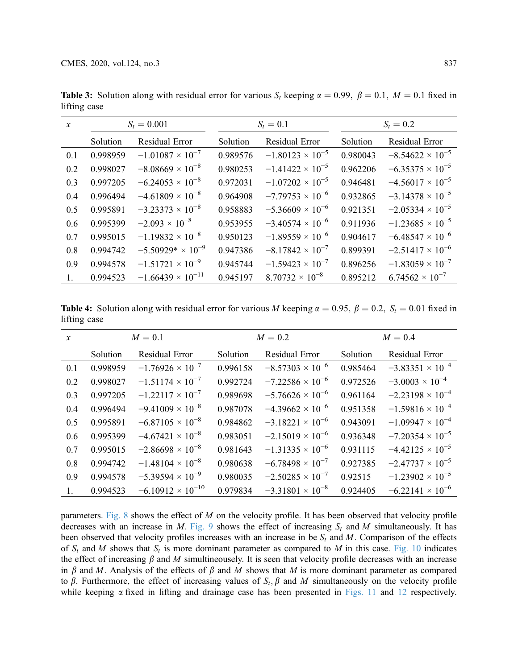| $\mathcal{X}$ | $S_t = 0.001$ |                            |          | $S_t = 0.1$               | $S_t = 0.2$ |                           |
|---------------|---------------|----------------------------|----------|---------------------------|-------------|---------------------------|
|               | Solution      | Residual Error             | Solution | Residual Error            | Solution    | Residual Error            |
| 0.1           | 0.998959      | $-1.01087 \times 10^{-7}$  | 0.989576 | $-1.80123 \times 10^{-5}$ | 0.980043    | $-8.54622 \times 10^{-5}$ |
| 0.2           | 0.998027      | $-8.08669 \times 10^{-8}$  | 0.980253 | $-1.41422 \times 10^{-5}$ | 0.962206    | $-6.35375 \times 10^{-5}$ |
| 0.3           | 0.997205      | $-6.24053 \times 10^{-8}$  | 0.972031 | $-1.07202 \times 10^{-5}$ | 0.946481    | $-4.56017 \times 10^{-5}$ |
| 0.4           | 0.996494      | $-4.61809 \times 10^{-8}$  | 0.964908 | $-7.79753 \times 10^{-6}$ | 0.932865    | $-3.14378 \times 10^{-5}$ |
| 0.5           | 0.995891      | $-3.23373 \times 10^{-8}$  | 0.958883 | $-5.36609 \times 10^{-6}$ | 0.921351    | $-2.05334 \times 10^{-5}$ |
| 0.6           | 0.995399      | $-2.093 \times 10^{-8}$    | 0.953955 | $-3.40574 \times 10^{-6}$ | 0.911936    | $-1.23685 \times 10^{-5}$ |
| 0.7           | 0.995015      | $-1.19832 \times 10^{-8}$  | 0.950123 | $-1.89559 \times 10^{-6}$ | 0.904617    | $-6.48547 \times 10^{-6}$ |
| 0.8           | 0.994742      | $-5.50929* \times 10^{-9}$ | 0.947386 | $-8.17842 \times 10^{-7}$ | 0.899391    | $-2.51417 \times 10^{-6}$ |
| 0.9           | 0.994578      | $-1.51721 \times 10^{-9}$  | 0.945744 | $-1.59423 \times 10^{-7}$ | 0.896256    | $-1.83059 \times 10^{-7}$ |
|               | 0.994523      | $-1.66439 \times 10^{-11}$ | 0.945197 | $8.70732 \times 10^{-8}$  | 0.895212    | $6.74562 \times 10^{-7}$  |

<span id="page-12-1"></span>**Table 3:** Solution along with residual error for various  $S_t$  keeping  $\alpha = 0.99$ ,  $\beta = 0.1$ ,  $M = 0.1$  fixed in lifting case

<span id="page-12-0"></span>**Table 4:** Solution along with residual error for various M keeping  $\alpha = 0.95$ ,  $\beta = 0.2$ ,  $S_t = 0.01$  fixed in lifting case

| $\mathcal{X}$ | $M=0.1$  |                            |          | $M=0.2$                   | $M=0.4$  |                           |
|---------------|----------|----------------------------|----------|---------------------------|----------|---------------------------|
|               | Solution | Residual Error             | Solution | Residual Error            | Solution | Residual Error            |
| 0.1           | 0.998959 | $-1.76926 \times 10^{-7}$  | 0.996158 | $-8.57303 \times 10^{-6}$ | 0.985464 | $-3.83351 \times 10^{-4}$ |
| 0.2           | 0.998027 | $-1.51174 \times 10^{-7}$  | 0.992724 | $-7.22586 \times 10^{-6}$ | 0.972526 | $-3.0003 \times 10^{-4}$  |
| 0.3           | 0.997205 | $-1.22117 \times 10^{-7}$  | 0.989698 | $-5.76626 \times 10^{-6}$ | 0.961164 | $-2.23198 \times 10^{-4}$ |
| 0.4           | 0.996494 | $-9.41009 \times 10^{-8}$  | 0.987078 | $-4.39662 \times 10^{-6}$ | 0.951358 | $-1.59816 \times 10^{-4}$ |
| 0.5           | 0.995891 | $-6.87105 \times 10^{-8}$  | 0.984862 | $-3.18221 \times 10^{-6}$ | 0.943091 | $-1.09947 \times 10^{-4}$ |
| 0.6           | 0.995399 | $-4.67421 \times 10^{-8}$  | 0.983051 | $-2.15019 \times 10^{-6}$ | 0.936348 | $-7.20354 \times 10^{-5}$ |
| 0.7           | 0.995015 | $-2.86698 \times 10^{-8}$  | 0.981643 | $-1.31335 \times 10^{-6}$ | 0.931115 | $-4.42125 \times 10^{-5}$ |
| 0.8           | 0.994742 | $-1.48104 \times 10^{-8}$  | 0.980638 | $-6.78498 \times 10^{-7}$ | 0.927385 | $-2.47737 \times 10^{-5}$ |
| 0.9           | 0.994578 | $-5.39594 \times 10^{-9}$  | 0.980035 | $-2.50285 \times 10^{-7}$ | 0.92515  | $-1.23902 \times 10^{-5}$ |
| $1_{\cdot}$   | 0.994523 | $-6.10912 \times 10^{-10}$ | 0.979834 | $-3.31801 \times 10^{-8}$ | 0.924405 | $-6.22141 \times 10^{-6}$ |

parameters. [Fig. 8](#page-17-1) shows the effect of  $M$  on the velocity profile. It has been observed that velocity profile decreases with an increase in M. [Fig. 9](#page-17-2) shows the effect of increasing  $S_t$  and M simultaneously. It has been observed that velocity profiles increases with an increase in be  $S_t$  and M. Comparison of the effects of  $S_t$  and M shows that  $S_t$  is more dominant parameter as compared to M in this case. [Fig. 10](#page-18-0) indicates the effect of increasing  $\beta$  and M simultineousely. It is seen that velocity profile decreases with an increase in  $\beta$  and M. Analysis of the effects of  $\beta$  and M shows that M is more dominant parameter as compared to  $\beta$ . Furthermore, the effect of increasing values of  $S_t$ ,  $\beta$  and M simultaneously on the velocity profile while keeping  $\alpha$  fixed in lifting and drainage case has been presented in [Figs. 11](#page-18-1) and [12](#page-18-2) respectively.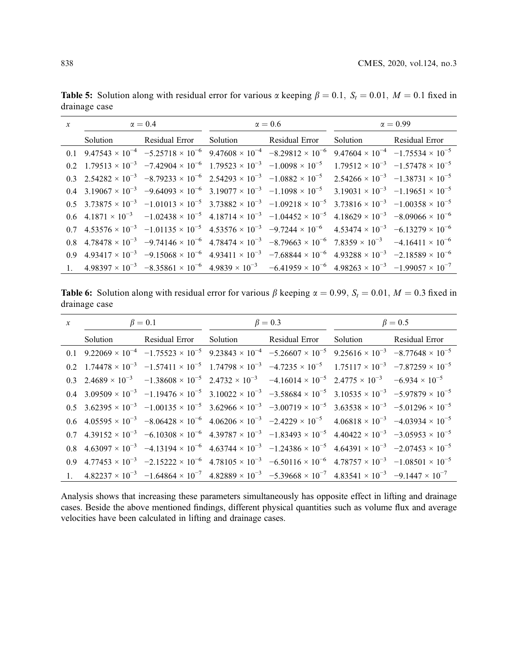| $\mathcal{X}$ | $\alpha = 0.4$ |  | $\alpha = 0.6$ |                                                                                                                                                                                                                   | $\alpha = 0.99$ |  |
|---------------|----------------|--|----------------|-------------------------------------------------------------------------------------------------------------------------------------------------------------------------------------------------------------------|-----------------|--|
|               |                |  |                | Solution Residual Error Solution Residual Error Solution Residual Error                                                                                                                                           |                 |  |
|               |                |  |                | 0.1 $9.47543 \times 10^{-4}$ $-5.25718 \times 10^{-6}$ $9.47608 \times 10^{-4}$ $-8.29812 \times 10^{-6}$ $9.47604 \times 10^{-4}$ $-1.75534 \times 10^{-5}$                                                      |                 |  |
|               |                |  |                | 0.2 $1.79513 \times 10^{-3}$ $-7.42904 \times 10^{-6}$ $1.79523 \times 10^{-3}$ $-1.0098 \times 10^{-5}$ $1.79512 \times 10^{-3}$ $-1.57478 \times 10^{-5}$                                                       |                 |  |
|               |                |  |                | 0.3 $2.54282 \times 10^{-3}$ $-8.79233 \times 10^{-6}$ $2.54293 \times 10^{-3}$ $-1.0882 \times 10^{-5}$ $2.54266 \times 10^{-3}$ $-1.38731 \times 10^{-5}$                                                       |                 |  |
|               |                |  |                | 0.4 3.19067 $\times$ 10 <sup>-3</sup> -9.64093 $\times$ 10 <sup>-6</sup> 3.19077 $\times$ 10 <sup>-3</sup> -1.1098 $\times$ 10 <sup>-5</sup> 3.19031 $\times$ 10 <sup>-3</sup> -1.19651 $\times$ 10 <sup>-5</sup> |                 |  |
|               |                |  |                | 0.5 $3.73875 \times 10^{-3}$ $-1.01013 \times 10^{-5}$ $3.73882 \times 10^{-3}$ $-1.09218 \times 10^{-5}$ $3.73816 \times 10^{-3}$ $-1.00358 \times 10^{-5}$                                                      |                 |  |
|               |                |  |                | 0.6 $4.1871 \times 10^{-3}$ $-1.02438 \times 10^{-5}$ $4.18714 \times 10^{-3}$ $-1.04452 \times 10^{-5}$ $4.18629 \times 10^{-3}$ $-8.09066 \times 10^{-6}$                                                       |                 |  |
|               |                |  |                | 0.7 $4.53576 \times 10^{-3}$ $-1.01135 \times 10^{-5}$ $4.53576 \times 10^{-3}$ $-9.7244 \times 10^{-6}$ $4.53474 \times 10^{-3}$ $-6.13279 \times 10^{-6}$                                                       |                 |  |
|               |                |  |                | 0.8 $4.78478 \times 10^{-3}$ $-9.74146 \times 10^{-6}$ $4.78474 \times 10^{-3}$ $-8.79663 \times 10^{-6}$ $7.8359 \times 10^{-3}$ $-4.16411 \times 10^{-6}$                                                       |                 |  |
|               |                |  |                | 0.9 $4.93417 \times 10^{-3}$ $-9.15068 \times 10^{-6}$ $4.93411 \times 10^{-3}$ $-7.68844 \times 10^{-6}$ $4.93288 \times 10^{-3}$ $-2.18589 \times 10^{-6}$                                                      |                 |  |
|               |                |  |                | 1. $4.98397 \times 10^{-3}$ $-8.35861 \times 10^{-6}$ $4.9839 \times 10^{-3}$ $-6.41959 \times 10^{-6}$ $4.98263 \times 10^{-3}$ $-1.99057 \times 10^{-7}$                                                        |                 |  |

<span id="page-13-0"></span>**Table 5:** Solution along with residual error for various  $\alpha$  keeping  $\beta = 0.1$ ,  $S_t = 0.01$ ,  $M = 0.1$  fixed in drainage case

<span id="page-13-1"></span>**Table 6:** Solution along with residual error for various  $\beta$  keeping  $\alpha = 0.99$ ,  $S_t = 0.01$ ,  $M = 0.3$  fixed in drainage case

| x $\beta = 0.1$ |                                                                                                                                                                                                                    | $\beta = 0.3$ | $\beta = 0.5$ |  |
|-----------------|--------------------------------------------------------------------------------------------------------------------------------------------------------------------------------------------------------------------|---------------|---------------|--|
| Solution        | Residual Error Solution Residual Error Solution Residual Error                                                                                                                                                     |               |               |  |
|                 | 0.1 $9.22069 \times 10^{-4}$ $-1.75523 \times 10^{-5}$ $9.23843 \times 10^{-4}$ $-5.26607 \times 10^{-5}$ $9.25616 \times 10^{-3}$ $-8.77648 \times 10^{-5}$                                                       |               |               |  |
|                 | 0.2 $1.74478 \times 10^{-3}$ $-1.57411 \times 10^{-5}$ $1.74798 \times 10^{-3}$ $-4.7235 \times 10^{-5}$ $1.75117 \times 10^{-3}$ $-7.87259 \times 10^{-5}$                                                        |               |               |  |
|                 | 0.3 $2.4689 \times 10^{-3}$ $-1.38608 \times 10^{-5}$ $2.4732 \times 10^{-3}$ $-4.16014 \times 10^{-5}$ $2.4775 \times 10^{-3}$ $-6.934 \times 10^{-5}$                                                            |               |               |  |
|                 | 0.4 3.09509 $\times$ 10 <sup>-3</sup> -1.19476 $\times$ 10 <sup>-5</sup> 3.10022 $\times$ 10 <sup>-3</sup> -3.58684 $\times$ 10 <sup>-5</sup> 3.10535 $\times$ 10 <sup>-3</sup> -5.97879 $\times$ 10 <sup>-5</sup> |               |               |  |
|                 | 0.5 $3.62395 \times 10^{-3}$ $-1.00135 \times 10^{-5}$ $3.62966 \times 10^{-3}$ $-3.00719 \times 10^{-5}$ $3.63538 \times 10^{-3}$ $-5.01296 \times 10^{-5}$                                                       |               |               |  |
|                 | 0.6 $4.05595 \times 10^{-3}$ $-8.06428 \times 10^{-6}$ $4.06206 \times 10^{-3}$ $-2.4229 \times 10^{-5}$ $4.06818 \times 10^{-3}$ $-4.03934 \times 10^{-5}$                                                        |               |               |  |
|                 | 0.7 $4.39152 \times 10^{-3}$ $-6.10308 \times 10^{-6}$ $4.39787 \times 10^{-3}$ $-1.83493 \times 10^{-5}$ $4.40422 \times 10^{-3}$ $-3.05953 \times 10^{-5}$                                                       |               |               |  |
|                 | 0.8 $4.63097 \times 10^{-3}$ $-4.13194 \times 10^{-6}$ $4.63744 \times 10^{-3}$ $-1.24386 \times 10^{-5}$ $4.64391 \times 10^{-3}$ $-2.07453 \times 10^{-5}$                                                       |               |               |  |
|                 | 0.9 $4.77453 \times 10^{-3}$ $-2.15222 \times 10^{-6}$ $4.78105 \times 10^{-3}$ $-6.50116 \times 10^{-6}$ $4.78757 \times 10^{-3}$ $-1.08501 \times 10^{-5}$                                                       |               |               |  |
|                 | 1. $4.82237 \times 10^{-3}$ $-1.64864 \times 10^{-7}$ $4.82889 \times 10^{-3}$ $-5.39668 \times 10^{-7}$ $4.83541 \times 10^{-3}$ $-9.1447 \times 10^{-7}$                                                         |               |               |  |

Analysis shows that increasing these parameters simultaneously has opposite effect in lifting and drainage cases. Beside the above mentioned findings, different physical quantities such as volume flux and average velocities have been calculated in lifting and drainage cases.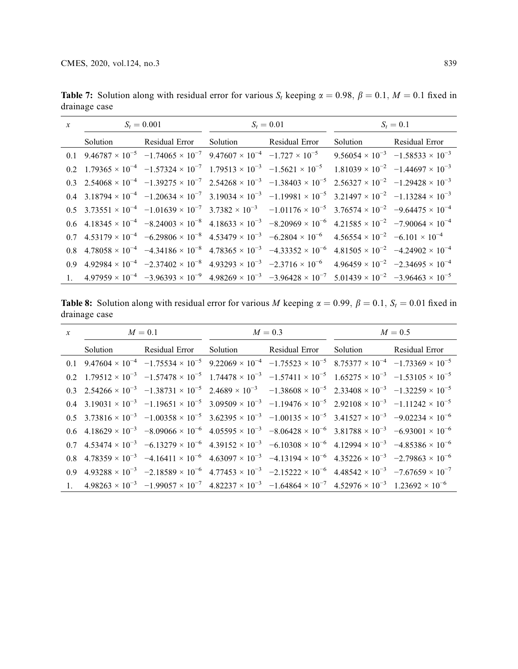| $\mathcal{X}$  | $S_t = 0.001$ |  | $S_t = 0.01$                                                                                                                                                                                                       | $S_t = 0.1$ |  |
|----------------|---------------|--|--------------------------------------------------------------------------------------------------------------------------------------------------------------------------------------------------------------------|-------------|--|
|                | Solution      |  | Residual Error Solution Residual Error Solution Residual Error                                                                                                                                                     |             |  |
|                |               |  | 0.1 $9.46787 \times 10^{-5}$ $-1.74065 \times 10^{-7}$ $9.47607 \times 10^{-4}$ $-1.727 \times 10^{-5}$ $9.56054 \times 10^{-3}$ $-1.58533 \times 10^{-3}$                                                         |             |  |
|                |               |  | 0.2 1.79365 $\times$ 10 <sup>-4</sup> -1.57324 $\times$ 10 <sup>-7</sup> 1.79513 $\times$ 10 <sup>-3</sup> -1.5621 $\times$ 10 <sup>-5</sup> 1.81039 $\times$ 10 <sup>-2</sup> -1.44697 $\times$ 10 <sup>-3</sup>  |             |  |
|                |               |  | 0.3 $2.54068 \times 10^{-4}$ $-1.39275 \times 10^{-7}$ $2.54268 \times 10^{-3}$ $-1.38403 \times 10^{-5}$ $2.56327 \times 10^{-2}$ $-1.29428 \times 10^{-3}$                                                       |             |  |
|                |               |  | 0.4 3.18794 $\times$ 10 <sup>-4</sup> -1.20634 $\times$ 10 <sup>-7</sup> 3.19034 $\times$ 10 <sup>-3</sup> -1.19981 $\times$ 10 <sup>-5</sup> 3.21497 $\times$ 10 <sup>-2</sup> -1.13284 $\times$ 10 <sup>-3</sup> |             |  |
|                |               |  | 0.5 $3.73551 \times 10^{-4}$ $-1.01639 \times 10^{-7}$ $3.7382 \times 10^{-3}$ $-1.01176 \times 10^{-5}$ $3.76574 \times 10^{-2}$ $-9.64475 \times 10^{-4}$                                                        |             |  |
|                |               |  | 0.6 4.18345 $\times$ 10 <sup>-4</sup> -8.24003 $\times$ 10 <sup>-8</sup> 4.18633 $\times$ 10 <sup>-3</sup> -8.20969 $\times$ 10 <sup>-6</sup> 4.21585 $\times$ 10 <sup>-2</sup> -7.90064 $\times$ 10 <sup>-4</sup> |             |  |
|                |               |  | 0.7 $4.53179 \times 10^{-4}$ $-6.29806 \times 10^{-8}$ $4.53479 \times 10^{-3}$ $-6.2804 \times 10^{-6}$ $4.56554 \times 10^{-2}$ $-6.101 \times 10^{-4}$                                                          |             |  |
|                |               |  | 0.8 $4.78058 \times 10^{-4}$ $-4.34186 \times 10^{-8}$ $4.78365 \times 10^{-3}$ $-4.33352 \times 10^{-6}$ $4.81505 \times 10^{-2}$ $-4.24902 \times 10^{-4}$                                                       |             |  |
|                |               |  | 0.9 $4.92984 \times 10^{-4}$ $-2.37402 \times 10^{-8}$ $4.93293 \times 10^{-3}$ $-2.3716 \times 10^{-6}$ $4.96459 \times 10^{-2}$ $-2.34695 \times 10^{-4}$                                                        |             |  |
| 1 <sup>1</sup> |               |  | $4.97959 \times 10^{-4}$ $-3.96393 \times 10^{-9}$ $4.98269 \times 10^{-3}$ $-3.96428 \times 10^{-7}$ $5.01439 \times 10^{-2}$ $-3.96463 \times 10^{-5}$                                                           |             |  |

<span id="page-14-1"></span>**Table 7:** Solution along with residual error for various  $S_t$  keeping  $\alpha = 0.98$ ,  $\beta = 0.1$ ,  $M = 0.1$  fixed in drainage case

<span id="page-14-0"></span>**Table 8:** Solution along with residual error for various M keeping  $\alpha = 0.99$ ,  $\beta = 0.1$ ,  $S_t = 0.01$  fixed in drainage case

| $x \hspace{1.5cm} M = 0.1$ |                                                                                                                                                                                                                    | $M=0.3$ |  | $M=0.5$ |  |
|----------------------------|--------------------------------------------------------------------------------------------------------------------------------------------------------------------------------------------------------------------|---------|--|---------|--|
| Solution                   | Residual Error Solution Residual Error Solution Residual Error                                                                                                                                                     |         |  |         |  |
|                            | 0.1 $9.47604 \times 10^{-4}$ $-1.75534 \times 10^{-5}$ $9.22069 \times 10^{-4}$ $-1.75523 \times 10^{-5}$ $8.75377 \times 10^{-4}$ $-1.73369 \times 10^{-5}$                                                       |         |  |         |  |
|                            | 0.2 $1.79512 \times 10^{-3}$ $-1.57478 \times 10^{-5}$ $1.74478 \times 10^{-3}$ $-1.57411 \times 10^{-5}$ $1.65275 \times 10^{-3}$ $-1.53105 \times 10^{-5}$                                                       |         |  |         |  |
|                            | 0.3 $2.54266 \times 10^{-3}$ $-1.38731 \times 10^{-5}$ $2.4689 \times 10^{-3}$ $-1.38608 \times 10^{-5}$ $2.33408 \times 10^{-3}$ $-1.32259 \times 10^{-5}$                                                        |         |  |         |  |
|                            | 0.4 3.19031 $\times$ 10 <sup>-3</sup> -1.19651 $\times$ 10 <sup>-5</sup> 3.09509 $\times$ 10 <sup>-3</sup> -1.19476 $\times$ 10 <sup>-5</sup> 2.92108 $\times$ 10 <sup>-3</sup> -1.11242 $\times$ 10 <sup>-5</sup> |         |  |         |  |
|                            | 0.5 $3.73816 \times 10^{-3}$ $-1.00358 \times 10^{-5}$ $3.62395 \times 10^{-3}$ $-1.00135 \times 10^{-5}$ $3.41527 \times 10^{-3}$ $-9.02234 \times 10^{-6}$                                                       |         |  |         |  |
|                            | 0.6 4.18629 $\times$ 10 <sup>-3</sup> -8.09066 $\times$ 10 <sup>-6</sup> 4.05595 $\times$ 10 <sup>-3</sup> -8.06428 $\times$ 10 <sup>-6</sup> 3.81788 $\times$ 10 <sup>-3</sup> -6.93001 $\times$ 10 <sup>-6</sup> |         |  |         |  |
|                            | 0.7 $4.53474 \times 10^{-3}$ $-6.13279 \times 10^{-6}$ $4.39152 \times 10^{-3}$ $-6.10308 \times 10^{-6}$ $4.12994 \times 10^{-3}$ $-4.85386 \times 10^{-6}$                                                       |         |  |         |  |
|                            | 0.8 $4.78359 \times 10^{-3}$ $-4.16411 \times 10^{-6}$ $4.63097 \times 10^{-3}$ $-4.13194 \times 10^{-6}$ $4.35226 \times 10^{-3}$ $-2.79863 \times 10^{-6}$                                                       |         |  |         |  |
|                            | 0.9 $4.93288 \times 10^{-3}$ $-2.18589 \times 10^{-6}$ $4.77453 \times 10^{-3}$ $-2.15222 \times 10^{-6}$ $4.48542 \times 10^{-3}$ $-7.67659 \times 10^{-7}$                                                       |         |  |         |  |
|                            | 1. $4.98263 \times 10^{-3}$ $-1.99057 \times 10^{-7}$ $4.82237 \times 10^{-3}$ $-1.64864 \times 10^{-7}$ $4.52976 \times 10^{-3}$ $1.23692 \times 10^{-6}$                                                         |         |  |         |  |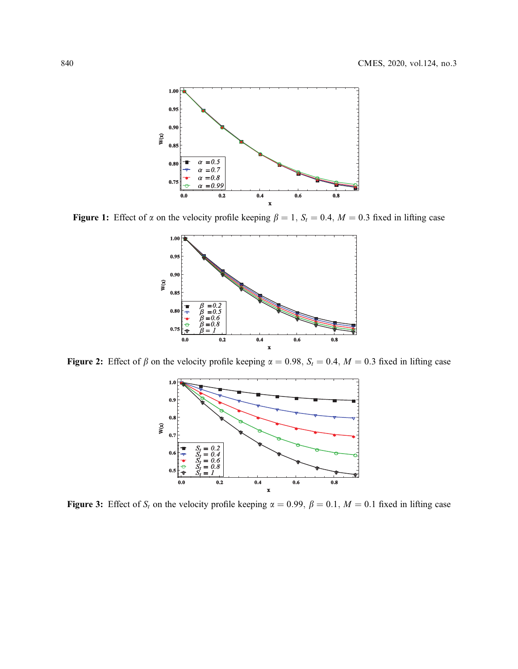<span id="page-15-0"></span>

<span id="page-15-1"></span>Figure 1: Effect of  $\alpha$  on the velocity profile keeping  $\beta = 1$ ,  $S_t = 0.4$ ,  $M = 0.3$  fixed in lifting case



Figure 2: Effect of  $\beta$  on the velocity profile keeping  $\alpha = 0.98$ ,  $S_t = 0.4$ ,  $M = 0.3$  fixed in lifting case



Figure 3: Effect of  $S_t$  on the velocity profile keeping  $\alpha = 0.99$ ,  $\beta = 0.1$ ,  $M = 0.1$  fixed in lifting case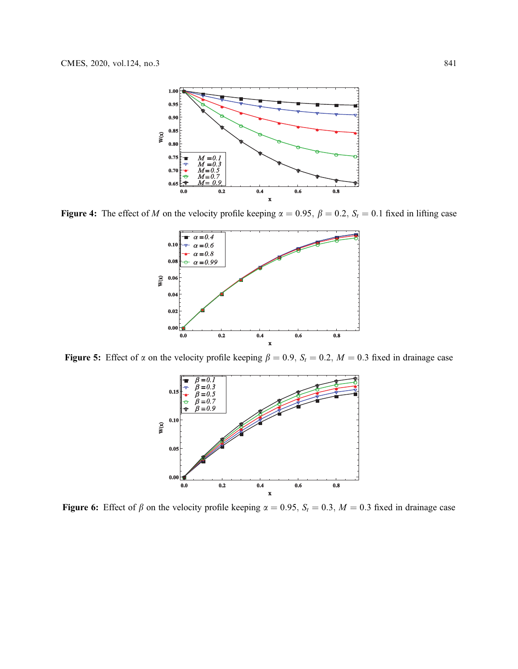<span id="page-16-0"></span>

<span id="page-16-1"></span>Figure 4: The effect of M on the velocity profile keeping  $\alpha = 0.95$ ,  $\beta = 0.2$ ,  $S_t = 0.1$  fixed in lifting case



<span id="page-16-2"></span>Figure 5: Effect of  $\alpha$  on the velocity profile keeping  $\beta = 0.9$ ,  $S_t = 0.2$ ,  $M = 0.3$  fixed in drainage case



Figure 6: Effect of  $\beta$  on the velocity profile keeping  $\alpha = 0.95$ ,  $S_t = 0.3$ ,  $M = 0.3$  fixed in drainage case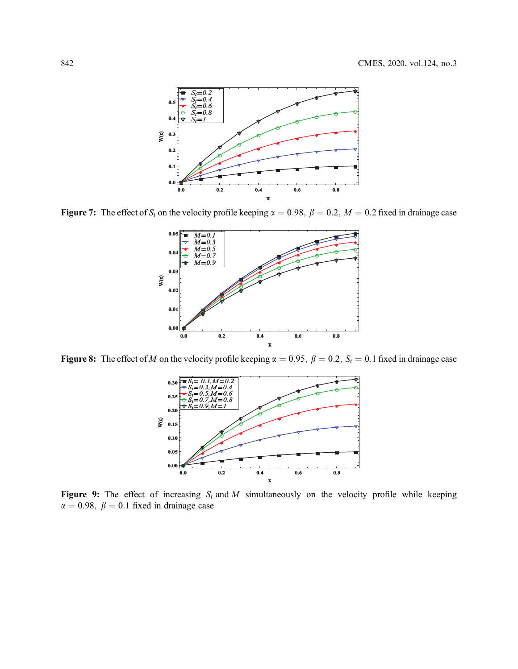<span id="page-17-0"></span>

<span id="page-17-1"></span>Figure 7: The effect of  $S_t$  on the velocity profile keeping  $\alpha = 0.98$ ,  $\beta = 0.2$ ,  $M = 0.2$  fixed in drainage case



<span id="page-17-2"></span>Figure 8: The effect of M on the velocity profile keeping  $\alpha = 0.95$ ,  $\beta = 0.2$ ,  $S_t = 0.1$  fixed in drainage case



Figure 9: The effect of increasing  $S_t$  and M simultaneously on the velocity profile while keeping  $\alpha = 0.98, \beta = 0.1$  fixed in drainage case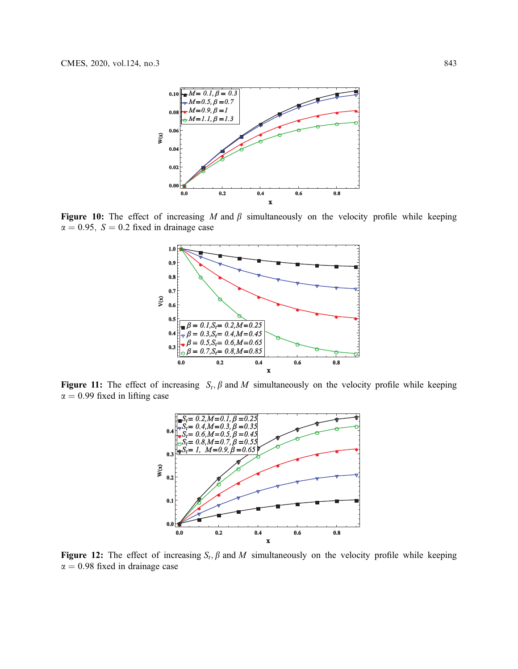<span id="page-18-0"></span>

<span id="page-18-1"></span>Figure 10: The effect of increasing M and  $\beta$  simultaneously on the velocity profile while keeping  $\alpha = 0.95$ ,  $S = 0.2$  fixed in drainage case



<span id="page-18-2"></span>Figure 11: The effect of increasing  $S_t$ ,  $\beta$  and  $M$  simultaneously on the velocity profile while keeping  $\alpha = 0.99$  fixed in lifting case



Figure 12: The effect of increasing  $S_t$ ,  $\beta$  and M simultaneously on the velocity profile while keeping  $\alpha = 0.98$  fixed in drainage case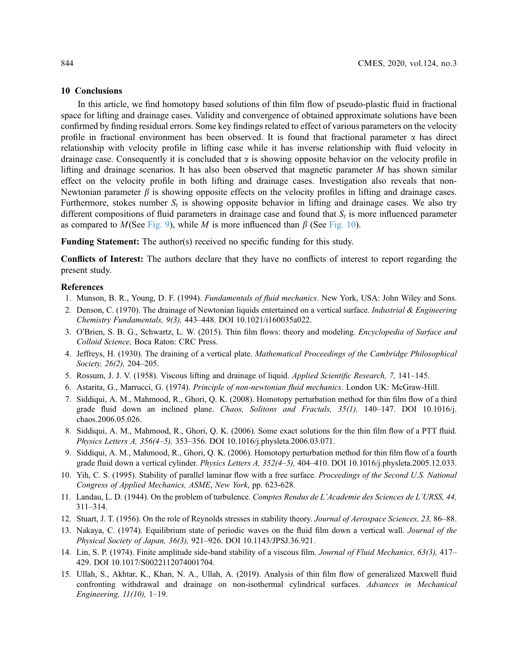#### 10 Conclusions

In this article, we find homotopy based solutions of thin film flow of pseudo-plastic fluid in fractional space for lifting and drainage cases. Validity and convergence of obtained approximate solutions have been confirmed by finding residual errors. Some key findings related to effect of various parameters on the velocity profile in fractional environment has been observed. It is found that fractional parameter  $\alpha$  has direct relationship with velocity profile in lifting case while it has inverse relationship with fluid velocity in drainage case. Consequently it is concluded that  $\alpha$  is showing opposite behavior on the velocity profile in lifting and drainage scenarios. It has also been observed that magnetic parameter  $M$  has shown similar effect on the velocity profile in both lifting and drainage cases. Investigation also reveals that non-Newtonian parameter  $\beta$  is showing opposite effects on the velocity profiles in lifting and drainage cases. Furthermore, stokes number  $S_t$  is showing opposite behavior in lifting and drainage cases. We also try different compositions of fluid parameters in drainage case and found that  $S_t$  is more influenced parameter as compared to  $M$ (See [Fig. 9\)](#page-17-2), while M is more influenced than  $\beta$  (See [Fig. 10\)](#page-18-0).

Funding Statement: The author(s) received no specific funding for this study.

Conflicts of Interest: The authors declare that they have no conflicts of interest to report regarding the present study.

#### References

- <span id="page-19-0"></span>1. Munson, B. R., Young, D. F. (1994). Fundamentals of fluid mechanics. New York, USA: John Wiley and Sons.
- <span id="page-19-1"></span>2. Denson, C. (1970). The drainage of Newtonian liquids entertained on a vertical surface. *Industrial & Engineering* Chemistry Fundamentals, 9(3), 443–448. DOI [10.1021/i160035a022](http://dx.doi.org/10.1021/i160035a022).
- 3. O'Brien, S. B. G., Schwartz, L. W. (2015). Thin film flows: theory and modeling. Encyclopedia of Surface and Colloid Science, Boca Raton: CRC Press.
- <span id="page-19-3"></span>4. Jeffreys, H. (1930). The draining of a vertical plate. Mathematical Proceedings of the Cambridge Philosophical Society, 26(2), 204–205.
- <span id="page-19-2"></span>5. Rossum, J. J. V. (1958). Viscous lifting and drainage of liquid. Applied Scientific Research, 7, 141–145.
- <span id="page-19-4"></span>6. Astarita, G., Marrucci, G. (1974). Principle of non-newtonian fluid mechanics. London UK: McGraw-Hill.
- <span id="page-19-5"></span>7. Siddiqui, A. M., Mahmood, R., Ghori, Q. K. (2008). Homotopy perturbation method for thin film flow of a third grade fluid down an inclined plane. Chaos, Solitons and Fractals, 35(1), 140–147. DOI [10.1016/j.](http://dx.doi.org/10.1016/j.chaos.2006.05.026) [chaos.2006.05.026](http://dx.doi.org/10.1016/j.chaos.2006.05.026).
- <span id="page-19-6"></span>8. Siddiqui, A. M., Mahmood, R., Ghori, Q. K. (2006). Some exact solutions for the thin film flow of a PTT fluid. Physics Letters A, 356(4–5), 353–356. DOI [10.1016/j.physleta.2006.03.071.](http://dx.doi.org/10.1016/j.physleta.2006.03.071)
- <span id="page-19-7"></span>9. Siddiqui, A. M., Mahmood, R., Ghori, Q. K. (2006). Homotopy perturbation method for thin film flow of a fourth grade fluid down a vertical cylinder. Physics Letters A, 352(4–5), 404–410. DOI [10.1016/j.physleta.2005.12.033.](http://dx.doi.org/10.1016/j.physleta.2005.12.033)
- <span id="page-19-8"></span>10. Yih, C. S. (1995). Stability of parallel laminar flow with a free surface. Proceedings of the Second U.S. National Congress of Applied Mechanics, ASME, New York, pp. 623-628.
- <span id="page-19-9"></span>11. Landau, L. D. (1944). On the problem of turbulence. Comptes Rendus de L'Academie des Sciences de L'URSS, 44, 311–314.
- <span id="page-19-10"></span>12. Stuart, J. T. (1956). On the role of Reynolds stresses in stability theory. Journal of Aerospace Sciences, 23, 86–88.
- <span id="page-19-11"></span>13. Nakaya, C. (1974). Equilibrium state of periodic waves on the fluid film down a vertical wall. Journal of the Physical Society of Japan, 36(3), 921–926. DOI [10.1143/JPSJ.36.921.](http://dx.doi.org/10.1143/JPSJ.36.921)
- <span id="page-19-12"></span>14. Lin, S. P. (1974). Finite amplitude side-band stability of a viscous film. Journal of Fluid Mechanics, 63(3), 417-429. DOI [10.1017/S0022112074001704.](http://dx.doi.org/10.1017/S0022112074001704)
- <span id="page-19-13"></span>15. Ullah, S., Akhtar, K., Khan, N. A., Ullah, A. (2019). Analysis of thin film flow of generalized Maxwell fluid confronting withdrawal and drainage on non-isothermal cylindrical surfaces. Advances in Mechanical Engineering, 11(10), 1–19.